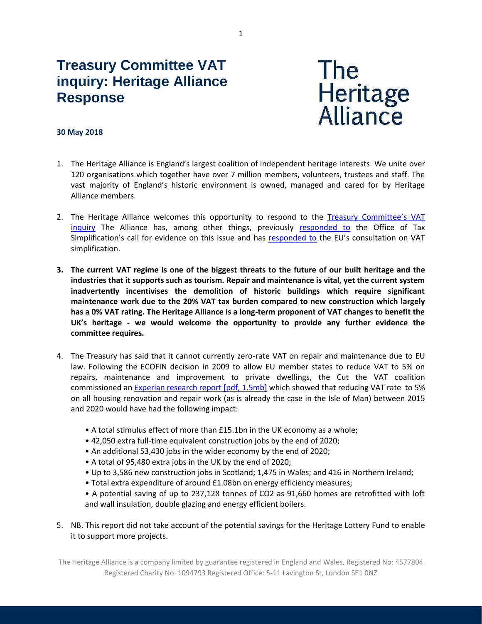# **Treasury Committee VAT inquiry: Heritage Alliance Response**



#### **30 May 2018**

- 1. The Heritage Alliance is England's largest coalition of independent heritage interests. We unite over 120 organisations which together have over 7 million members, volunteers, trustees and staff. The vast majority of England's historic environment is owned, managed and cared for by Heritage Alliance members.
- 2. The Heritage Alliance welcomes this opportunity to respond to the [Treasury Committee'](https://www.parliament.uk/business/committees/committees-a-z/commons-select/treasury-committee/inquiries1/parliament-2017/vat-17-19/)s VAT [inquiry](https://www.parliament.uk/business/committees/committees-a-z/commons-select/treasury-committee/inquiries1/parliament-2017/vat-17-19/) The Alliance has, among other things, previously [responded to](http://www.theheritagealliance.org.uk/tha-website/wp-content/uploads/2017/08/OTS-reform-of-VAT-rates-JO.pdf) the Office of Tax Simplification's call for evidence on this issue and has [responded to](http://www.theheritagealliance.org.uk/tha-website/wp-content/uploads/2017/03/EU-consulation-on-the-reform-of-VAT-rates-JO-1.pdf) the EU's consultation on VAT simplification.
- **3. The current VAT regime is one of the biggest threats to the future of our built heritage and the industries that it supports such as tourism. Repair and maintenance is vital, yet the current system inadvertently incentivises the demolition of historic buildings which require significant maintenance work due to the 20% VAT tax burden compared to new construction which largely has a 0% VAT rating. The Heritage Alliance is a long-term proponent of VAT changes to benefit the UK's heritage - we would welcome the opportunity to provide any further evidence the committee requires.**
- 4. The Treasury has said that it cannot currently zero-rate VAT on repair and maintenance due to EU law. Following the ECOFIN decision in 2009 to allow EU member states to reduce VAT to 5% on repairs, maintenance and improvement to private dwellings, the Cut the VAT coalition commissioned a[n Experian research report \[pdf, 1.5mb\]](http://resources.fmb.org.uk/docs/VATResearchFinal.pdf) which showed that reducing VAT rate to 5% on all housing renovation and repair work (as is already the case in the Isle of Man) between 2015 and 2020 would have had the following impact:
	- A total stimulus effect of more than £15.1bn in the UK economy as a whole;
	- 42,050 extra full-time equivalent construction jobs by the end of 2020;
	- An additional 53,430 jobs in the wider economy by the end of 2020;
	- A total of 95,480 extra jobs in the UK by the end of 2020;
	- Up to 3,586 new construction jobs in Scotland; 1,475 in Wales; and 416 in Northern Ireland;
	- Total extra expenditure of around £1.08bn on energy efficiency measures;
	- A potential saving of up to 237,128 tonnes of CO2 as 91,660 homes are retrofitted with loft and wall insulation, double glazing and energy efficient boilers.
- 5. NB. This report did not take account of the potential savings for the Heritage Lottery Fund to enable it to support more projects.

The Heritage Alliance is a company limited by guarantee registered in England and Wales, Registered No: 4577804 Registered Charity No. 1094793 Registered Office: 5-11 Lavington St, London SE1 0NZ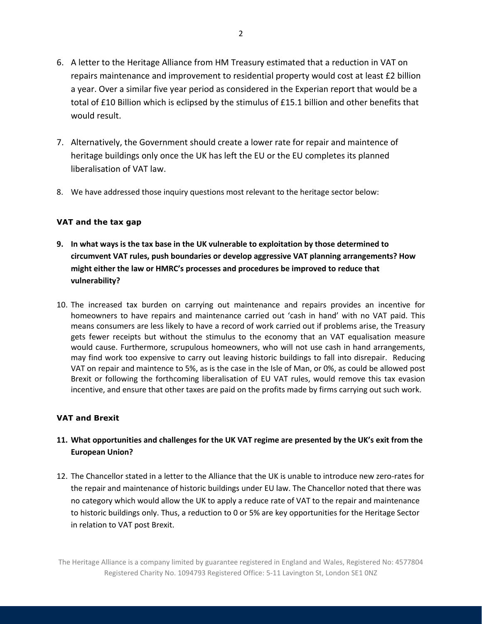- 6. A letter to the Heritage Alliance from HM Treasury estimated that a reduction in VAT on repairs maintenance and improvement to residential property would cost at least £2 billion a year. Over a similar five year period as considered in the Experian report that would be a total of £10 Billion which is eclipsed by the stimulus of £15.1 billion and other benefits that would result.
- 7. Alternatively, the Government should create a lower rate for repair and maintence of heritage buildings only once the UK has left the EU or the EU completes its planned liberalisation of VAT law.
- 8. We have addressed those inquiry questions most relevant to the heritage sector below:

## **VAT and the tax gap**

- **9. In what ways is the tax base in the UK vulnerable to exploitation by those determined to circumvent VAT rules, push boundaries or develop aggressive VAT planning arrangements? How might either the law or HMRC's processes and procedures be improved to reduce that vulnerability?**
- 10. The increased tax burden on carrying out maintenance and repairs provides an incentive for homeowners to have repairs and maintenance carried out 'cash in hand' with no VAT paid. This means consumers are less likely to have a record of work carried out if problems arise, the Treasury gets fewer receipts but without the stimulus to the economy that an VAT equalisation measure would cause. Furthermore, scrupulous homeowners, who will not use cash in hand arrangements, may find work too expensive to carry out leaving historic buildings to fall into disrepair. Reducing VAT on repair and maintence to 5%, as is the case in the Isle of Man, or 0%, as could be allowed post Brexit or following the forthcoming liberalisation of EU VAT rules, would remove this tax evasion incentive, and ensure that other taxes are paid on the profits made by firms carrying out such work.

## **VAT and Brexit**

# **11. What opportunities and challenges for the UK VAT regime are presented by the UK's exit from the European Union?**

12. The Chancellor stated in a letter to the Alliance that the UK is unable to introduce new zero-rates for the repair and maintenance of historic buildings under EU law. The Chancellor noted that there was no category which would allow the UK to apply a reduce rate of VAT to the repair and maintenance to historic buildings only. Thus, a reduction to 0 or 5% are key opportunities for the Heritage Sector in relation to VAT post Brexit.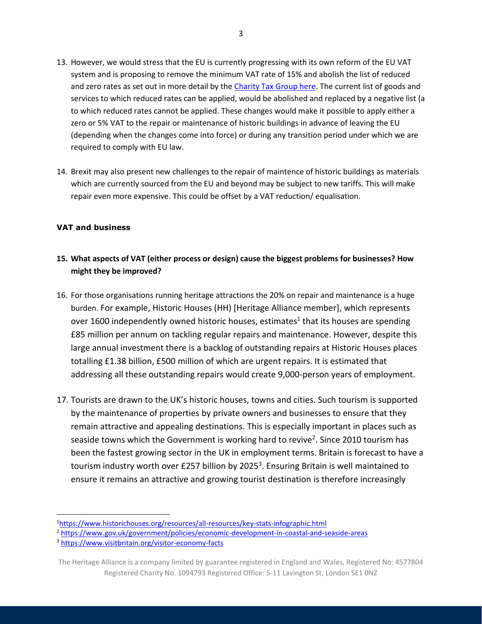- 13. However, we would stress that the EU is currently progressing with its own reform of the EU VAT system and is proposing to remove the minimum VAT rate of 15% and abolish the list of reduced and zero rates as set out in more detail by th[e Charity Tax Group here.](https://www.charitytaxgroup.org.uk/news-post/2018/european-commission-proposals-vat-rate-published/) The current list of goods and services to which reduced rates can be applied, would be abolished and replaced by a negative list (a to which reduced rates cannot be applied. These changes would make it possible to apply either a zero or 5% VAT to the repair or maintenance of historic buildings in advance of leaving the EU (depending when the changes come into force) or during any transition period under which we are required to comply with EU law.
- 14. Brexit may also present new challenges to the repair of maintence of historic buildings as materials which are currently sourced from the EU and beyond may be subject to new tariffs. This will make repair even more expensive. This could be offset by a VAT reduction/ equalisation.

## **VAT and business**

# **15. What aspects of VAT (either process or design) cause the biggest problems for businesses? How might they be improved?**

- 16. For those organisations running heritage attractions the 20% on repair and maintenance is a huge burden. For example, Historic Houses (HH) [Heritage Alliance member], which represents over 1600 independently owned historic houses, estimates<sup>1</sup> that its houses are spending £85 million per annum on tackling regular repairs and maintenance. However, despite this large annual investment there is a backlog of outstanding repairs at Historic Houses places totalling £1.38 billion, £500 million of which are urgent repairs. It is estimated that addressing all these outstanding repairs would create 9,000-person years of employment.
- 17. Tourists are drawn to the UK's historic houses, towns and cities. Such tourism is supported by the maintenance of properties by private owners and businesses to ensure that they remain attractive and appealing destinations. This is especially important in places such as seaside towns which the Government is working hard to revive<sup>2</sup>. Since 2010 tourism has been the fastest growing sector in the UK in employment terms. Britain is forecast to have a tourism industry worth over £257 billion by 2025<sup>3</sup>. Ensuring Britain is well maintained to ensure it remains an attractive and growing tourist destination is therefore increasingly

 $\overline{\phantom{a}}$ 

<sup>1</sup><https://www.historichouses.org/resources/all-resources/key-stats-infographic.html>

<sup>2</sup> <https://www.gov.uk/government/policies/economic-development-in-coastal-and-seaside-areas>

<sup>3</sup> <https://www.visitbritain.org/visitor-economy-facts>

The Heritage Alliance is a company limited by guarantee registered in England and Wales, Registered No: 4577804 Registered Charity No. 1094793 Registered Office: 5-11 Lavington St, London SE1 0NZ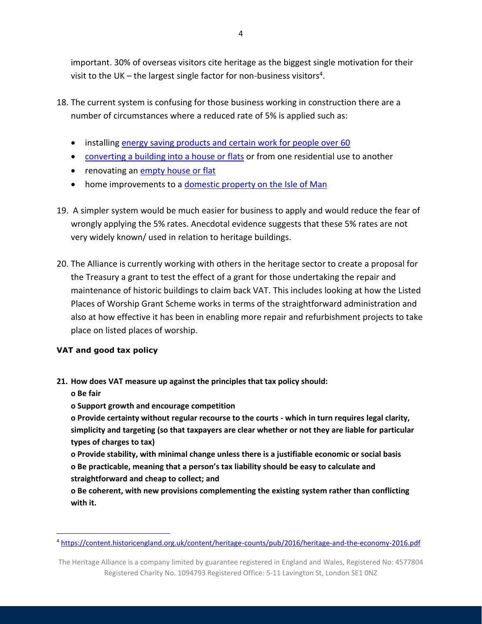important. 30% of overseas visitors cite heritage as the biggest single motivation for their visit to the UK – the largest single factor for non-business visitors<sup>4</sup>.

- 18. The current system is confusing for those business working in construction there are a number of circumstances where a reduced rate of 5% is applied such as:
	- installing [energy saving products and certain work for people over 60](https://www.gov.uk/vat-builders/energy-mobility)
	- [converting a building into a house or](https://www.gov.uk/government/publications/vat-notice-708-buildings-and-construction/vat-notice-708-buildings-and-construction#reduced-rating-the-conversion-of-premises-to-a-different-residential-use) flats or from one residential use to another
	- renovating an [empty house or flat](https://www.gov.uk/government/publications/vat-notice-708-buildings-and-construction/vat-notice-708-buildings-and-construction#reduced-rating-the-renovation-or-alteration-of-empty-residential-premises)
	- home improvements to a [domestic property on the Isle of Man](http://www.gov.im/categories/tax-vat-and-your-money/customs-and-excise/faqs-about-vat-and-customs-in-the-isle-of-man/how-does-the-reduced-rate-of-vat-on-domestic-property-repairs-work-for-properties-in-the-isle-of-man/)
- 19. A simpler system would be much easier for business to apply and would reduce the fear of wrongly applying the 5% rates. Anecdotal evidence suggests that these 5% rates are not very widely known/ used in relation to heritage buildings.
- 20. The Alliance is currently working with others in the heritage sector to create a proposal for the Treasury a grant to test the effect of a grant for those undertaking the repair and maintenance of historic buildings to claim back VAT. This includes looking at how the Listed Places of Worship Grant Scheme works in terms of the straightforward administration and also at how effective it has been in enabling more repair and refurbishment projects to take place on listed places of worship.

# **VAT and good tax policy**

## **21. How does VAT measure up against the principles that tax policy should:**

**o Be fair**

 $\overline{\phantom{a}}$ 

**o Support growth and encourage competition**

**o Provide certainty without regular recourse to the courts - which in turn requires legal clarity, simplicity and targeting (so that taxpayers are clear whether or not they are liable for particular types of charges to tax)**

**o Provide stability, with minimal change unless there is a justifiable economic or social basis o Be practicable, meaning that a person's tax liability should be easy to calculate and straightforward and cheap to collect; and**

**o Be coherent, with new provisions complementing the existing system rather than conflicting with it.**

<sup>4</sup> <https://content.historicengland.org.uk/content/heritage-counts/pub/2016/heritage-and-the-economy-2016.pdf>

The Heritage Alliance is a company limited by guarantee registered in England and Wales, Registered No: 4577804 Registered Charity No. 1094793 Registered Office: 5-11 Lavington St, London SE1 0NZ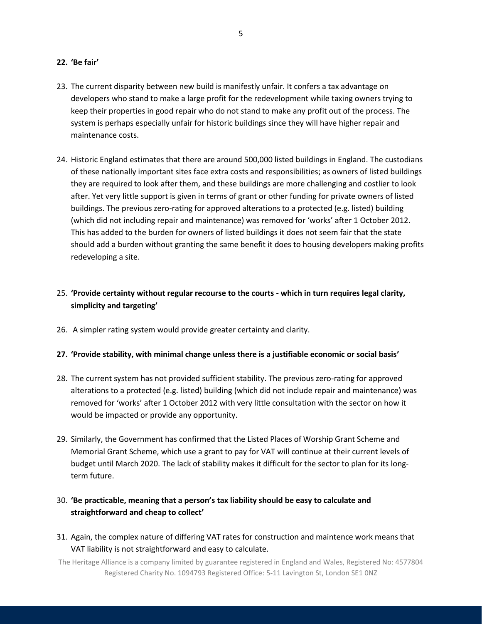#### **22. 'Be fair'**

- 23. The current disparity between new build is manifestly unfair. It confers a tax advantage on developers who stand to make a large profit for the redevelopment while taxing owners trying to keep their properties in good repair who do not stand to make any profit out of the process. The system is perhaps especially unfair for historic buildings since they will have higher repair and maintenance costs.
- 24. Historic England estimates that there are around 500,000 listed buildings in England. The custodians of these nationally important sites face extra costs and responsibilities; as owners of listed buildings they are required to look after them, and these buildings are more challenging and costlier to look after. Yet very little support is given in terms of grant or other funding for private owners of listed buildings. The previous zero-rating for approved alterations to a protected (e.g. listed) building (which did not including repair and maintenance) was removed for 'works' after 1 October 2012. This has added to the burden for owners of listed buildings it does not seem fair that the state should add a burden without granting the same benefit it does to housing developers making profits redeveloping a site.

# 25. **'Provide certainty without regular recourse to the courts - which in turn requires legal clarity, simplicity and targeting'**

26. A simpler rating system would provide greater certainty and clarity.

#### **27. 'Provide stability, with minimal change unless there is a justifiable economic or social basis'**

- 28. The current system has not provided sufficient stability. The previous zero-rating for approved alterations to a protected (e.g. listed) building (which did not include repair and maintenance) was removed for 'works' after 1 October 2012 with very little consultation with the sector on how it would be impacted or provide any opportunity.
- 29. Similarly, the Government has confirmed that the Listed Places of Worship Grant Scheme and Memorial Grant Scheme, which use a grant to pay for VAT will continue at their current levels of budget until March 2020. The lack of stability makes it difficult for the sector to plan for its longterm future.

# 30. **'Be practicable, meaning that a person's tax liability should be easy to calculate and straightforward and cheap to collect'**

31. Again, the complex nature of differing VAT rates for construction and maintence work means that VAT liability is not straightforward and easy to calculate.

The Heritage Alliance is a company limited by guarantee registered in England and Wales, Registered No: 4577804 Registered Charity No. 1094793 Registered Office: 5-11 Lavington St, London SE1 0NZ